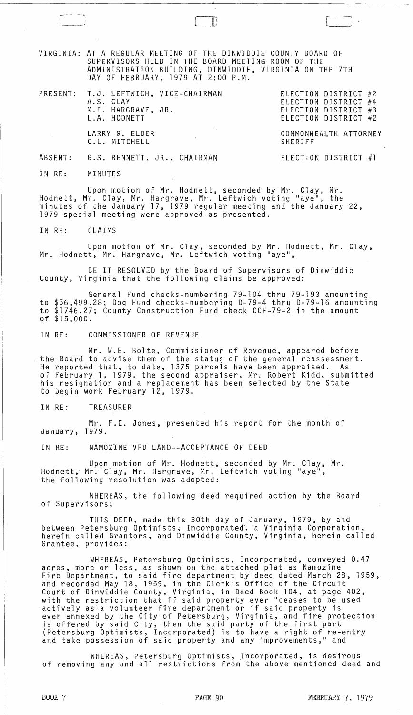VIRGINIA: AT A REGULAR MEETING OF THE DINWIDDIE COUNTY BOARD OF SUPERVISORS HELD IN THE BOARD MEETING ROOM OF THE ADMINISTRATION BUILDING, DINWIDDIE, VIRGINIA ON THE 7TH DAY OF FEBRUARY, 1979 AT 2:00 P.M.

| PRESENT: T.J. LEFTWICH, VICE-CHAIRMAN<br>A.S. CLAY<br>M.I. HARGRAVE, JR.<br>L.A. HODNETT | ELECTION DISTRICT #2<br>ELECTION DISTRICT #4<br>ELECTION DISTRICT #3<br>ELECTION DISTRICT #2 |
|------------------------------------------------------------------------------------------|----------------------------------------------------------------------------------------------|
| LARRY G. ELDER<br>C.L. MITCHELL                                                          | COMMONWEALTH ATTORNEY<br><b>SHERIFF</b>                                                      |
| ABSENT: G.S. BENNETT, JR., CHAIRMAN                                                      | ELECTION DISTRICT #1                                                                         |

 $\Box$ 

IN RE: MINUTES

Upon motion of Mr. Hodnett, seconded by Mr. Clay, Mr. Hodnett, Mr. Clay, Mr. Hargrave, Mr. Leftwich voting "aye", the minutes of the January 17, 1979 regular meeting and the January 22, 1979 special meeting were approved as presented.

IN RE: CLAIMS

Upon motion of Mr. Clay, seconded by Mr. Hodnett, Mr. Clay, Mr. Hodnett, Mr. Hargrave, Mr. Leftwich voting "aye",

BE IT RESOLVED by the Board of Supervisors of Dinwiddie County, Virginia that the following claims be approved:

General Fund checks-numbering 79-104 thru 79-193 amounting to \$56,499.28; Dog Fund checks-numbering 0-79-4 thru 0-79-16 amounting to \$1746.27; County Construction Fund check CCF-79-2 in the amount of \$15,000.

IN RE: COMMISSIONER OF REVENUE

Mr. W.E. Bolte, Commissioner of Revenue, appeared before the Board to advise them of the status of the general reassessment.<br>He reported that, to date, 1375 parcels have been appraised. As He reported that, to date, 1375 parcels have been appraised. of February 1, 1979, the second appraiser, Mr. Robert Kidd, submitted his resignation and a replacement has been selected by the State to begin work February 12, 1979.

IN RE: TREASURER

Mr. F.E. Jones, presented his report for the month of January, 1979.

IN RE: NAMOZINE VFD LAND·-ACCEPTANCE OF DEED

Upon motion of Mr. Hodnett, seconded by Mr. Clay, Mr. Hodnett, Mr. Clay, Mr. Hargrave, Mr. Leftwich voting "aye", the following resolution was adopted:

WHEREAS, the following deed required action by the Board of Supervisors;

THIS DEED, made this 30th day of January, 1979, by and<br>between Petersburg Optimists, Incorporated, a Virginia Corporation, herein called Grantors, and Dinwiddie County, Virginia, herein called Grantee, provides:

WHEREAS, Petersburg Optimists, Incorporated, conveyed 0.47 acres, more or less, as shown on the attached plat as Namozine Fire Department, to said fire department by deed dated March 28, 1959, and recorded May 18, 1959, in the Clerk's Office of the Circuit Court of Dinwiddie County, Virginia, in Deed Book 104, at page 402, with the restriction that if said property ever "ceases to be used actively as a volunteer fire department or if said property is ever annexed by the City of Petersburg, Virginia, and fire protection is offered by said City, then the said party of the first part (Petersburg Optimists, Incorporated) is to have a right of re-entry and take possession of said property and any improvements," and

WHEREAS, Petersburg Optimists, Incorporated, is desirous of removing any and all restrictions from the above mentioned deed and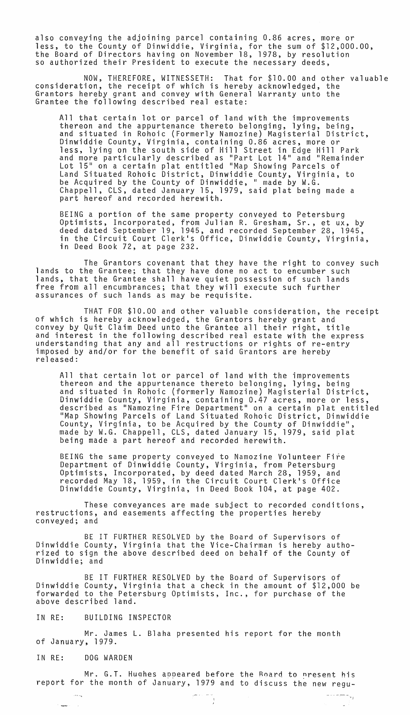also conveying the adjoining parcel containing 0.86 acres, more or less, to the County of Dinwiddie, Virginia, for the sum of \$12,000.00, the Board of Directors having on November 18, 1978, by resolution so authorized their President to execute the necessary deeds,

NOW, THEREFORE, WITNESSETH: That for \$10.00 and other valuable consideration, the receipt of which is hereby acknowledged, the Grantors hereby grant and convey with General Warranty unto the Grantee the following described real estate:

All that certain lot or parcel of land with the improvements<br>thereon and the appurtenance thereto belonging, lying, being, and situated in Rohoic (Formerly Namozine) Magisterial District, Dinwiddie County, Virginia, containing 0.86 acres, more or less, lying on the south side of Hill Street in Edge Hill Park and more particularly described as "Part Lot 14" and "Remainder Lot 15" on a certain plat entitled "Map Showing Parcels of Land Situated Rohoic District, Dinwiddie County, Virginia, to be Acquired by the County of Dinwiddie, " made by W.G. Chappell, CLS, dated January 15, 1979, said plat being made a part hereof and recorded herewith.

BEING a portion of the same property conveyed to Petersburg Optimists, Incorporated, from Jul ian R. Gresham, Sr., et ux, by deed dated September 19, 1945, and recorded September 28, 1945, in the Circuit Court Clerk's Office, Dinwiddie County, Virginia, in Deed Book 72, at page 232.

The Grantors covenant that they have the right to convey such lands to the Grantee; that they have done no act to encumber such lands, that the Grantee shall have quiet possession of such lands free from all encumbrances; that they will execute such further assurances of such lands as may be requisite.

THAT FOR \$10.00 and other valuable consideration, the receipt of which is hereby acknowledged, the Grantors hereby grant and convey by Quit Claim Deed unto the Grantee all their right, title understanding that any and all restructions or rights of re-entry<br>imposed by and/or for the benefit of said Grantors are hereby<br>released:

All that certain lot or parcel of land with the improvements thereon and the appurtenance thereto belonging, lying, being and situated in Rohoic (formerly Namozine) Magisterial District, Dinwiddie County, Virginia, containing 0.47 acres, more or less, described as "Namozine Fire Department" on a certain plat entitled "Map Showing Parcels of Land Situated Rohoic District, Dinwiddie County, Virginia, to be Acquired by the County of Dinwiddie", made by W.G. Chappell, CLS, dated January 15, 1979, said plat being made a part hereof and recorded herewith.

BEING the same property conveyed to Namozine Volunteer Fire Department of Dinwiddie County, Virginia, from Petersburg Optimists, Incorporated, by deed dated March 28, 1959, and recorded May 18, 1959, in the Circuit Court Clerk's Office Dinwiddie County, Virginia, in Deed Book 104, at page 402.

These conveyances are made subject to recorded conditions, restructions, and easements affecting the properties hereby conveyed; and

BE IT FURTHER RESOLVED by the Board of Supervisors of Dinwiddie County, Virginia that the Vice-Chairman is hereby authorized to sign the above described deed on behalf of the County of Dinwiddie; and

BE IT FURTHER RESOLVED by the Board of Supervisors of Dinwiddie County, Virginia that a check in the amount of \$12,000 be forwarded to the Petersburg Optimists, Inc., for purchase of the above described land.

IN RE: BUILDING INSPECTOR

Mr. James L. Blaha presented his report for the month of January, 1979.

## IN RE: DOG WARDEN

 $\sim$   $\sim$   $\sim$ 

 $\mathcal{C}$  and  $\mathcal{C}$  and  $\mathcal{C}$ 

Mr. G.T. Hughes appeared before the Roard to present his report for the month of January, 1979 and to discuss the new regu-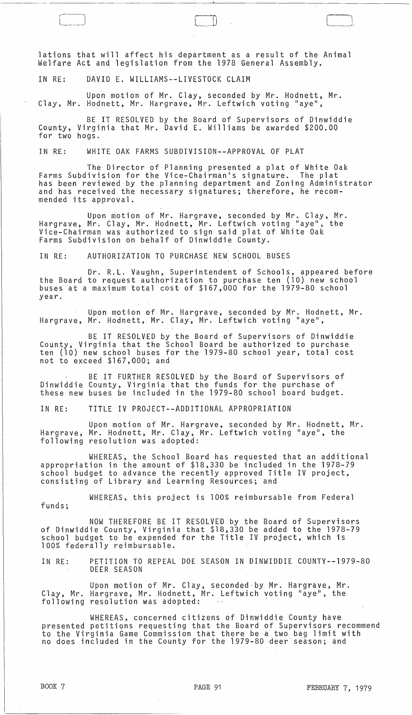lations that will affect his department as a result of the Animal Welfare Act and legislation from the 1978 General Assembly.

IN RE: DAVID E. WILLIAMS--LIVESTOCK CLAIM

Upon motion of Mr. Clay, seconded by Mr. Hodnett, Mr. Clay, Mr. Hodnett, Mr. Hargrave, Mr. Leftwich voting "aye",

BE IT RESOLVED by the Board of Supervisors of Dinwiddie County, Virginia that Mr. David E. Williams be awarded \$200.00 for two hogs.

IN RE: WHITE OAK FARMS SUBDIVISION--APPROVAL OF PLAT

The Director of Planning presented a plat of White Oak<br>Farms Subdivision for the Vice-Chairman's signature. The plat has been reviewed by the planning department and Zoning Administrator and has received the necessary signatures; therefore, he recommended its approval.

Upon motion of Mr. Hargrave, seconded by Mr. Clay, Mr. Hargrave, Mr. Clay, Mr. Hodnett, Mr. Leftwich voting "aye", the Vice-Chairman was authorized to sign said plat of White Oak Farms Subdivision on behalf of Dinwiddie County.

IN RE: AUTHORIZATION TO PURCHASE NEW SCHOOL BUSES

Dr. R.L. Vaughn, Superintendent of Schools, appeared before the Board to request authorization to purchase ten (10) new school buses at a maximum total cost of \$167,000 for the 1979-80 school year.

Upon motion of Mr. Hargrave, seconded by Mr. Hodnett, Mr. Hargrave, Mr. Hodnett, Mr. Clay, Mr. Leftwich voting "aye",

BE IT RESOLVED by the Board of Supervisors of Dinwiddie County, Virginia that the School Board be authorized to purchase ten (10) new school buses for the 1979-80 school year, total cost not to exceed \$167,000; and

BE IT FURTHER RESOLVED by the Board of Supervisors of Dinwiddie County, Virginia that the funds for the purchase of these new buses be included in the 1979-80 school board budget.

IN RE: TITLE IV PROJECT--ADDITIONAL APPROPRIATION

Upon motion of Mr. Hargrave, seconded by Mr. Hodnett, Mr. Hargrave, Mr. Hodnett, Mr. Clay, Mr. Leftwich voting "aye", the following resolution was adopted:

WHEREAS, the School Board has requested that an additional appropriation in the amount of \$18,330 be included in the 1978-79 school budget to advance the recently approved Title IV project, consisting of Library and Learning Resources; and

WHEREAS, this project is 100% reimbursable from Federal funds;

NOW THEREFORE BE IT RESOLVED by the Board of Supervisors of Dinwiddie County, Virginia that \$18,330 be added to the 1978-79 school budget to be expended.for the Title IV project, which is 100% federally reimbursable.

IN RE: PETITION TO REPEAL DOE SEASON IN DINWIDDIE COUNTY--1979-80 DEER SEASON

Upon motion of Mr. Clay, seconded·by Mr. Hargrave, Mr. Clay, Mr. Hargrave, Mr. Hodnett, Mr. Leftwich voting "aye", the following resolution was adopted:

WHEREAS, concerned citizens of Dinwiddie County have presented petitions requesting that the Board of Supervisors recommend to the Virginia Game Commission that there be a two bag limit with no does included in the County for the 1979-80 deer season; and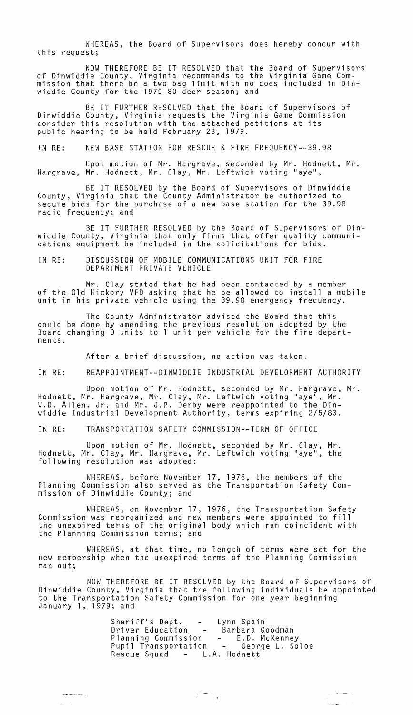WHEREAS, the Board of Supervisors does hereby concur with this request;

NOW THEREFORE BE IT RESOLVED that the Board of Supervisors of Dinwiddie County, Virginia recommends to the Virginia Game Commission that there be a two bag limit with no does included in Dinwiddie County for the 1979-80 deer season; and

BE IT FURTHER RESOLVED that the Board of Supervisors of Dinwiddie County, Virginia requests the Virginia Game Commission consider this resolution with the attached petitions at its public hearing to be held February 23, 1979.

IN RE: NEW BASE STATION FOR RESCUE & FIRE FREQUENCY--39.98

Upon motion of Mr. Hargrave, seconded by Mr. Hodnett, Mr. Hargrave, Mr. Hodnett, Mr. Clay, Mr. Leftwich voting "aye",

BE IT RESOLVED by the Board of Supervisors of Dinwiddie County, Virginia that the County Administrator be authorized to secure bids for the purchase of a new base station for the 39.98 radio frequency; and

BE IT FURTHER RESOLVED by the Board of Supervisors of Dinwiddie County, Virginia that only firms that offer quality communications equipment be included in the solicitations for bids.

IN RE: DISCUSSION OF MOBILE COMMUNICATIONS UNIT FOR FIRE DEPARTMENT PRIVATE VEHICLE

Mr. Clay stated that he had been contacted by a member of the Old Hickory VFD asking that he be allowed to install a mobile unit in his private vehicle using the 39.98 emergency frequency.

The County Administrator advised the Board that this could be done by amending the previous resolution adopted by the Board changing 0 units to 1 unit per vehicle for the fire departments.

After a brief discussion, no action was taken.

IN RE: REAPPOINTMENT--DINWIDDIE INDUSTRIAL DEVELOPMENT AUTHORITY

Upon motion of Mr. Hodnett, seconded by Mr. Hargrave, Mr. Hodnett, Mr. Hargrave, Mr. Clay, Mr. Leftwich voting "aye", Mr. W.D. Allen, Jr. and Mr. J.P. Derby were reappointed to the Dinwiddie Industrial Development Authority, terms expiring 2/5/83.

IN RE: TRANSPORTATION SAFETY COMMISSION--TERM OF OFFICE

Upon motion of Mr. Hodnett, seconded by Mr. Clay, Mr.<br>Ir. Clay, Mr. Hargrave, Mr. Leftwich voting "aye", the Hodnett, Mr. Clay, Mr. Hargrave, Mr. Leftwich voting "aye' following resolution was adopted:

WHEREAS, before November 17, 1976, the members of the Planning Commission also served as the Transportation Safety Commission of Dinwiddie County; and

WHEREAS, on November 17, 1976, the Transportation Safety Commission was reorganized and new members were appointed to fill the unexpired terms of the original body which ran coincident with the Planning Commission terms; and

WHEREAS, at that time, no length of terms were set for the new membership when the unexpired terms of the Planning Commission ran out;

NOW THEREFORE BE IT RESOLVED by the Board of Supervisors of Dinwiddie County, Virginia that the following individuals be appointed to the Transportation Safety Commission for one year beginning January 1, 1979; and

> Sheriff's Dept. - Lynn Spain Driver Education – Barbara Goodman Planning Commission - E.D. McKenney Pupil Transportation - George L. Soloe Rescue Squad - L.A. Hodnett

------

 $\langle S_{\rm{in}} \rangle_{\rm{out}}$ 

 $\hat{\varphi}$  . The conservation

t<br>Naskup og sk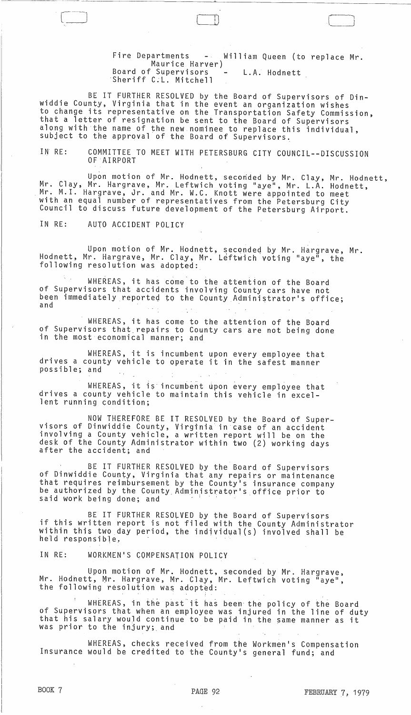Fire Departments - William Queen (to replace Mr. Maurice Harver) Board of Supervisors - L.A. Hodnett 'Sheriff C.L. Mitchell

- ---- ---'~------------"'----------------------

 $\Box$   $\Box$ 

BE IT FURTHER RESOLVED by the Board of Supervisors of Dinwiddie County, Virginia that in the event an organization wishes to change its representative on the Transportation Safety Commission, that a letter of resignation be sent to the Board of Supervisors along with the name of the new nominee to replace this individual, subject to the approval of the Board of Supervisors.

IN RE: COMMITTEE TO MEET WITH PETERSBURG CITY COUNCIL--DISCUSSION OF AIRPORT

Upon motion of Mr. Hodnett, seconded by Mr. Clay, Mr. Hodnett,<br>Mr. Clay, Mr. Hargrave, Mr. Leftwich voting "aye", Mr. L.A. Hodnett, Mr. M.I. Hargrave, Jr. and Mr. W.C. Knott were appointed to meet with an equal number of representatives from the Petersburg City Council to discuss future development of the Petersburg Airport.

IN RE: AUTO ACCIDENT POLICY

Upon motion of Mr. Hodnett, seconded by Mr. Hargrave, Mr. Hodnett, Mr. Hargrave, Mr. Clay, Mr. Leftwich voting "aye", the following resolution was adopted:

WHEREAS, it has come to the attention of the Board of Supervisors that accidents involving County cars have not been immediately reported to the County Administrator's office;<br>and

WHEREAS, it has come to the attention of the Board of Supervisors that, repairs to County cars are not being done in the most economical manner; and

WHEREAS, it is incumbent upon every employee that drives a county vehicle to operate it in the safest manner possible; and

WHEREAS, it is incumbent upon every employee that drives a county vehicle to maintain this vehicle in excellent running condition;

NOW THEREFORE BE IT RESOLVED by the Board of Super- visors of Dinwiddie County, Virginia incase of an accident involving a County vehicle, a written report will be on the desk of the County Administrator within two (2) working days<br>after the accident; and

BE IT FURTHER RESOLVED by the Board of Supervisors of Dinwiddie County, Virginia that any repairs or maintenance that requires reimbursement by the County's insurance company be authorized by the County Administrator's office prior to said work being done; and

BE IT FURTHER RESOLVED by the Board of Supervisors if this written report is not filed with the County Administrator within this two day period, the individual(s) involved shall be held responsible,

IN RE: WORKMEN'S COMPENSATION POLICY

Upon motion of Mr. Hodnett, seconded by Mr. Hargrave, Mr. Hodnett, Mr. Hargrave, Mr. Clay, Mr. Leftwich voting "aye", the following resolution was adopted:

WHEREAS, in the past it has been the policy of the Board of Supervisors that when an employee was injured in the line of duty that his salary would continue to be paid in the same manner as it was prior to the injury; and

WHEREAS, checks received from the Workmen's Compensation Insurance would be credited to the County's general fund; and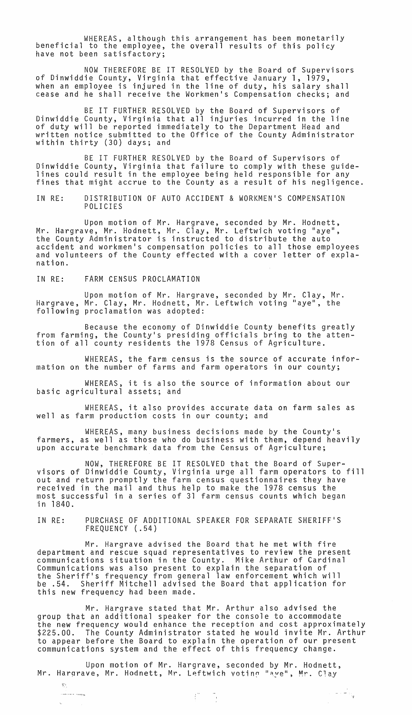WHEREAS, although this arrangement has been monetarily beneficial to the employee, the overall results of this policy have not been satisfactory;

NOW THEREFORE BE IT RESOLVED by the Board of Supervisors of Dinwiddie County, Virginia that effective January 1, 1979, when an employee is injured in the line of duty, his salary shall cease and he shall receive the Workmen's Compensation checks; and

BE IT FURTHER RESOLVED by the Board of Supervisors of Dinwiddie County, Virginia that all injuries incurred in the line of duty will be reported immediately to the Department Head and written notice submitted to the Office of the County Administrator within thirty (30) days; and

BE IT FURTHER RESOLVED by the Board of Supervisors of Dinwiddie County, Virginia that failure to comply with these guidelines could result in the employee being held responsible for any<br>fines that might accrue to the County as a result of his negligence.

IN RE: DISTRIBUTION OF AUTO ACCIDENT & WORKMEN'S COMPENSATION POLICIES

Upon motion of Mr. Hargrave, seconded by Mr. Hodnett, Mr. Hargrave, Mr. Hodnett, Mr. Clay, Mr. Leftwich voting "aye", the County Administrator is instructed to distribute the auto accident and workmen's compensation policies to all those employees and volunteers of the County effected with a cover letter of explanation.

IN RE: FARM CENSUS PROCLAMATION

Upon motion of Mr. Hargrave, seconded by Mr. Clay, Mr. Hargrave, Mr. Clay, Mr. Hodnett, Mr. Leftwich voting "aye", the following proclamation was adopted:

Because the economy of Dinwiddie County benefits greatly from farming, the County's presiding officials bring to the attention of all county residents the 1978 Census of Agriculture.

WHEREAS, the farm census is the source of accurate information on the number of farms and farm operators in our county;

WHEREAS, it is also the source of information about our basic agricultural assets; and

WHEREAS, it also provides accurate data on farm sales as well as farm production costs in our county; and

WHEREAS, many business decisions made by the County's farmers, as well as those who do business with them, depend heavily upon accurate benchmark data from the Census of Agriculture;

NOW, THEREFORE BE IT RESOLVED that the Board of Supervisors of Dinwiddie County, Virginia urge all farm operators to fill out and return promptly the farm census questionnaires they have received in the mail and thus help to make the 1978 census the most successful in a series of 31 farm census counts which began in 1840.

IN RE: PURCHASE OF ADDITIONAL SPEAKER FOR SEPARATE SHERIFF'S FREQUENCY (.54)

Mr. Hargrave advised the Board that he met with fire department and rescue squad representatives to review the present communications situation in the County. Mike Arthur of Cardinal Communications was also present to explain the separation of the Sheriff's frequency from general law enforcement which will Sheriff Mitchell advised the Board that application for this new frequency had been made.

Mr. Hargrave stated that Mr. Arthur also advised the group that an additional speaker for the console to accommodate the new frequency would enhance the reception and cost approximately \$225.00. The County Administrator stated he would invite Mr. Arthur to appear before the Board to explain the operation of our present communications system and the effect of this frequency change.

 $\frac{1}{2}$ 

 $\label{eq:1} \begin{array}{c} \mathbb{E}[\mathbf{u}]\cdot\mathbb{E}[\mathbf{u}]\\ \mathbb{E}[\mathbf{u}]\cdot\mathbb{E}[\mathbf{u}]\\ \mathbb{E}[\mathbf{u}] \end{array}$ 

Upon motion of Mr. Hargrave, seconded by Mr. Hodnett, Mr. Hargrave, Mr. Hodnett, Mr. Leftwich voting "ave", Mr. Clay

 $\sum_{i=1}^n \alpha_i$ ~--- ---:-,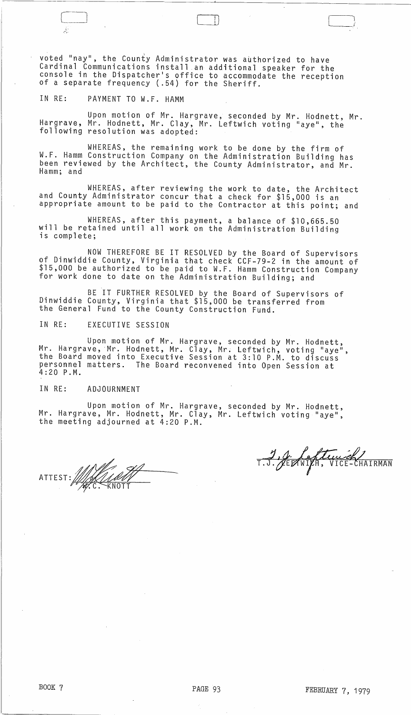\ voted "nay", the County Administrator was authorized to have Cardinal Communications install an additional speaker for the console in the Dispatcher's office to accommodate the reception<br>of a separate frequency (.54) for the Sheriff.

IN RE: PAYMENT TO W.F. HAMM

 $\Box$ 

 $\cdot$   $\cdot$ 

Upon motion of Mr. Hargrave, seconded by Mr. Hodnett, Mr. Hargrave, Mr. Hodnett, Mr. Clay, Mr. Leftwich voting "aye", the following resolution was adopted:

WHEREAS, the remaining work to be done by the firm of W.F. Hamm Construction Company on the Administration Building has been reviewed by the Architect, the County Administrator, and Mr. Hamm; and

WHEREAS, after reviewing the work to date, the Architect and County Administrator concur that a check for \$15,000 is an appropriate amount to be paid to the Contractor at this point; and

WHEREAS, after this payment, a balance of \$10,665.50 will be retained until all work on the Administration Building<br>is complete;

NOW THEREFORE BE IT RESOLVED by the Board of Supervisors of Dinwiddie County, Virginia that check CCF-79-2 in the amount of \$15,000 be authorized to be paid to W.F. Hamm Construction Company for work done to date on the Administration Building; and

BE IT FURTHER RESOLVED by the Board of Supervisors of Dinwiddie County, Virginia that \$15,000 be transferred from the General Fund to the County Construction Fund.

IN RE: EXECUTIVE SESSION

Upon motion of Mr. Hargrave, seconded by Mr. Hodnett, Mr. Hargrave, Mr. Hodnett, Mr. Clay, Mr. Leftwich, voting "aye"<br>the Board moved into Executive Session at 3:10 P.M. to discuss personnel matters. The Board reconvened into Open Session at 4:20 P.M.

## IN RE: ADJOURNMENT

Upon motion of Mr. Hargrave, seconded by Mr. Hodnett, Mr. Hargrave, Mr. Hodnett, Mr. Clay, Mr. Leftwich voting "aye",<br>the meeting adjourned at 4:20 P.M.

ATTEST: William **FACE KNOTT** 

1, J. Leftenier